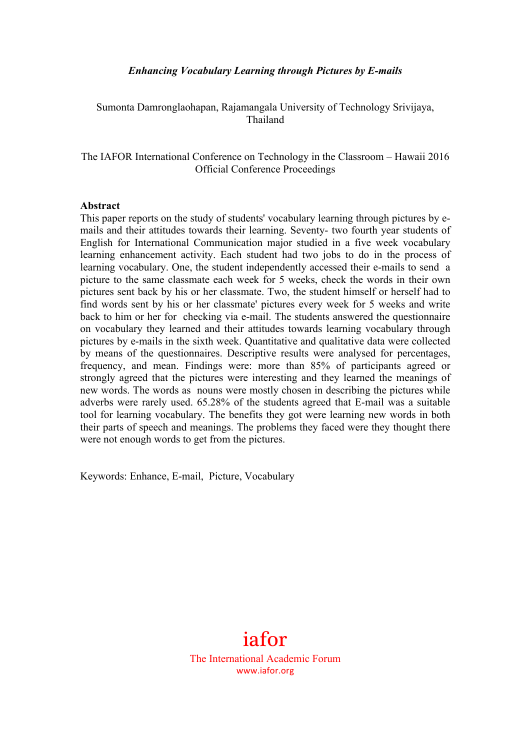## *Enhancing Vocabulary Learning through Pictures by E-mails*

Sumonta Damronglaohapan, Rajamangala University of Technology Srivijaya, Thailand

The IAFOR International Conference on Technology in the Classroom – Hawaii 2016 Official Conference Proceedings

#### **Abstract**

This paper reports on the study of students' vocabulary learning through pictures by emails and their attitudes towards their learning. Seventy- two fourth year students of English for International Communication major studied in a five week vocabulary learning enhancement activity. Each student had two jobs to do in the process of learning vocabulary. One, the student independently accessed their e-mails to send a picture to the same classmate each week for 5 weeks, check the words in their own pictures sent back by his or her classmate. Two, the student himself or herself had to find words sent by his or her classmate' pictures every week for 5 weeks and write back to him or her for checking via e-mail. The students answered the questionnaire on vocabulary they learned and their attitudes towards learning vocabulary through pictures by e-mails in the sixth week. Quantitative and qualitative data were collected by means of the questionnaires. Descriptive results were analysed for percentages, frequency, and mean. Findings were: more than 85% of participants agreed or strongly agreed that the pictures were interesting and they learned the meanings of new words. The words as nouns were mostly chosen in describing the pictures while adverbs were rarely used. 65.28% of the students agreed that E-mail was a suitable tool for learning vocabulary. The benefits they got were learning new words in both their parts of speech and meanings. The problems they faced were they thought there were not enough words to get from the pictures.

Keywords: Enhance, E-mail, Picture, Vocabulary



The International Academic Forum www.iafor.org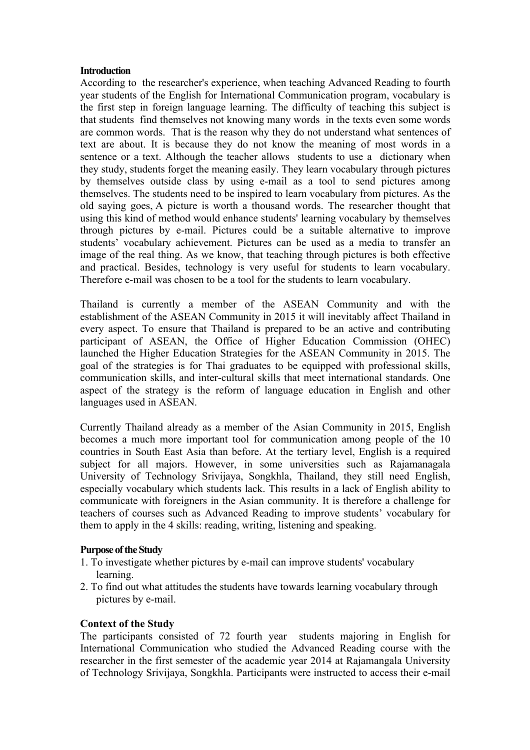#### **Introduction**

According to the researcher's experience, when teaching Advanced Reading to fourth year students of the English for International Communication program, vocabulary is the first step in foreign language learning. The difficulty of teaching this subject is that students find themselves not knowing many words in the texts even some words are common words. That is the reason why they do not understand what sentences of text are about. It is because they do not know the meaning of most words in a sentence or a text. Although the teacher allows students to use a dictionary when they study, students forget the meaning easily. They learn vocabulary through pictures by themselves outside class by using e-mail as a tool to send pictures among themselves. The students need to be inspired to learn vocabulary from pictures. As the old saying goes, A picture is worth a thousand words. The researcher thought that using this kind of method would enhance students' learning vocabulary by themselves through pictures by e-mail. Pictures could be a suitable alternative to improve students' vocabulary achievement. Pictures can be used as a media to transfer an image of the real thing. As we know, that teaching through pictures is both effective and practical. Besides, technology is very useful for students to learn vocabulary. Therefore e-mail was chosen to be a tool for the students to learn vocabulary.

Thailand is currently a member of the ASEAN Community and with the establishment of the ASEAN Community in 2015 it will inevitably affect Thailand in every aspect. To ensure that Thailand is prepared to be an active and contributing participant of ASEAN, the Office of Higher Education Commission (OHEC) launched the Higher Education Strategies for the ASEAN Community in 2015. The goal of the strategies is for Thai graduates to be equipped with professional skills, communication skills, and inter-cultural skills that meet international standards. One aspect of the strategy is the reform of language education in English and other languages used in ASEAN.

Currently Thailand already as a member of the Asian Community in 2015, English becomes a much more important tool for communication among people of the 10 countries in South East Asia than before. At the tertiary level, English is a required subject for all majors. However, in some universities such as Rajamanagala University of Technology Srivijaya, Songkhla, Thailand, they still need English, especially vocabulary which students lack. This results in a lack of English ability to communicate with foreigners in the Asian community. It is therefore a challenge for teachers of courses such as Advanced Reading to improve students' vocabulary for them to apply in the 4 skills: reading, writing, listening and speaking.

## **Purpose of the Study**

- 1. To investigate whether pictures by e-mail can improve students' vocabulary learning.
- 2. To find out what attitudes the students have towards learning vocabulary through pictures by e-mail.

#### **Context of the Study**

The participants consisted of 72 fourth year students majoring in English for International Communication who studied the Advanced Reading course with the researcher in the first semester of the academic year 2014 at Rajamangala University of Technology Srivijaya, Songkhla. Participants were instructed to access their e-mail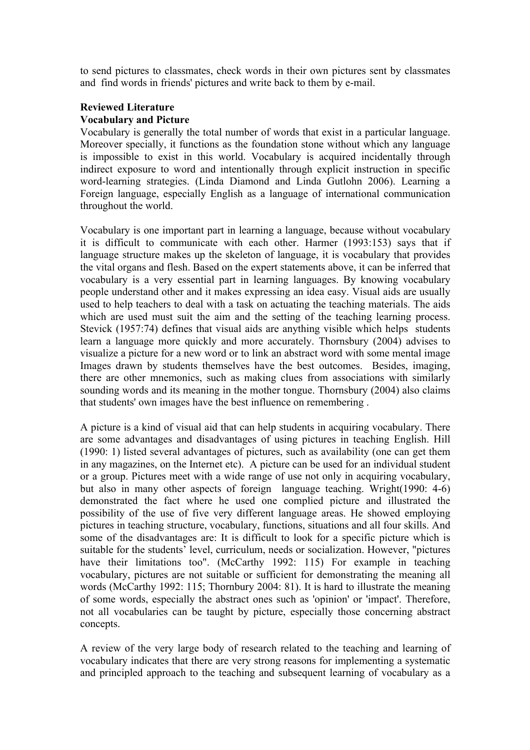to send pictures to classmates, check words in their own pictures sent by classmates and find words in friends' pictures and write back to them by e-mail.

## **Reviewed Literature Vocabulary and Picture**

Vocabulary is generally the total number of words that exist in a particular language. Moreover specially, it functions as the foundation stone without which any language is impossible to exist in this world. Vocabulary is acquired incidentally through indirect exposure to word and intentionally through explicit instruction in specific word-learning strategies. (Linda Diamond and Linda Gutlohn 2006). Learning a Foreign language, especially English as a language of international communication throughout the world.

Vocabulary is one important part in learning a language, because without vocabulary it is difficult to communicate with each other. Harmer (1993:153) says that if language structure makes up the skeleton of language, it is vocabulary that provides the vital organs and flesh. Based on the expert statements above, it can be inferred that vocabulary is a very essential part in learning languages. By knowing vocabulary people understand other and it makes expressing an idea easy. Visual aids are usually used to help teachers to deal with a task on actuating the teaching materials. The aids which are used must suit the aim and the setting of the teaching learning process. Stevick (1957:74) defines that visual aids are anything visible which helps students learn a language more quickly and more accurately. Thornsbury (2004) advises to visualize a picture for a new word or to link an abstract word with some mental image Images drawn by students themselves have the best outcomes. Besides, imaging, there are other mnemonics, such as making clues from associations with similarly sounding words and its meaning in the mother tongue. Thornsbury (2004) also claims that students' own images have the best influence on remembering .

A picture is a kind of visual aid that can help students in acquiring vocabulary. There are some advantages and disadvantages of using pictures in teaching English. Hill (1990: 1) listed several advantages of pictures, such as availability (one can get them in any magazines, on the Internet etc). A picture can be used for an individual student or a group. Pictures meet with a wide range of use not only in acquiring vocabulary, but also in many other aspects of foreign language teaching. Wright(1990: 4-6) demonstrated the fact where he used one complied picture and illustrated the possibility of the use of five very different language areas. He showed employing pictures in teaching structure, vocabulary, functions, situations and all four skills. And some of the disadvantages are: It is difficult to look for a specific picture which is suitable for the students' level, curriculum, needs or socialization. However, "pictures have their limitations too". (McCarthy 1992: 115) For example in teaching vocabulary, pictures are not suitable or sufficient for demonstrating the meaning all words (McCarthy 1992: 115; Thornbury 2004: 81). It is hard to illustrate the meaning of some words, especially the abstract ones such as 'opinion' or 'impact'. Therefore, not all vocabularies can be taught by picture, especially those concerning abstract concepts.

A review of the very large body of research related to the teaching and learning of vocabulary indicates that there are very strong reasons for implementing a systematic and principled approach to the teaching and subsequent learning of vocabulary as a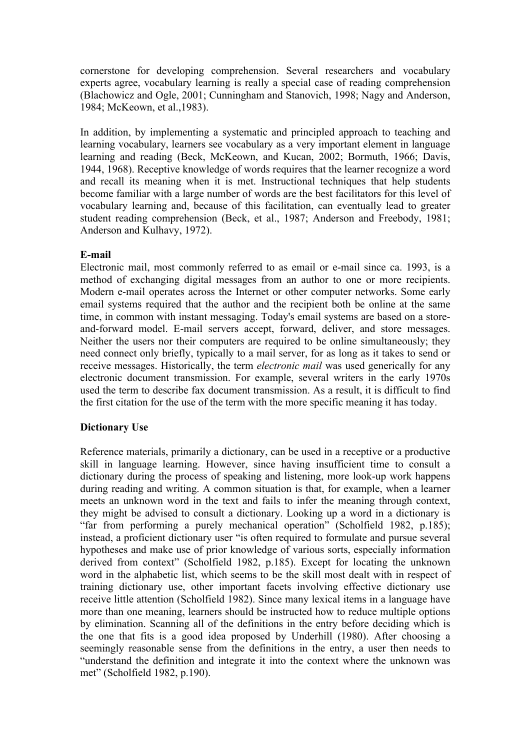cornerstone for developing comprehension. Several researchers and vocabulary experts agree, vocabulary learning is really a special case of reading comprehension (Blachowicz and Ogle, 2001; Cunningham and Stanovich, 1998; Nagy and Anderson, 1984; McKeown, et al.,1983).

In addition, by implementing a systematic and principled approach to teaching and learning vocabulary, learners see vocabulary as a very important element in language learning and reading (Beck, McKeown, and Kucan, 2002; Bormuth, 1966; Davis, 1944, 1968). Receptive knowledge of words requires that the learner recognize a word and recall its meaning when it is met. Instructional techniques that help students become familiar with a large number of words are the best facilitators for this level of vocabulary learning and, because of this facilitation, can eventually lead to greater student reading comprehension (Beck, et al., 1987; Anderson and Freebody, 1981; Anderson and Kulhavy, 1972).

# **E-mail**

Electronic mail, most commonly referred to as email or e-mail since ca. 1993, is a method of exchanging digital messages from an author to one or more recipients. Modern e-mail operates across the Internet or other computer networks. Some early email systems required that the author and the recipient both be online at the same time, in common with instant messaging. Today's email systems are based on a storeand-forward model. E-mail servers accept, forward, deliver, and store messages. Neither the users nor their computers are required to be online simultaneously; they need connect only briefly, typically to a mail server, for as long as it takes to send or receive messages. Historically, the term *electronic mail* was used generically for any electronic document transmission. For example, several writers in the early 1970s used the term to describe fax document transmission. As a result, it is difficult to find the first citation for the use of the term with the more specific meaning it has today.

# **Dictionary Use**

Reference materials, primarily a dictionary, can be used in a receptive or a productive skill in language learning. However, since having insufficient time to consult a dictionary during the process of speaking and listening, more look-up work happens during reading and writing. A common situation is that, for example, when a learner meets an unknown word in the text and fails to infer the meaning through context, they might be advised to consult a dictionary. Looking up a word in a dictionary is "far from performing a purely mechanical operation" (Scholfield 1982, p.185); instead, a proficient dictionary user "is often required to formulate and pursue several hypotheses and make use of prior knowledge of various sorts, especially information derived from context" (Scholfield 1982, p.185). Except for locating the unknown word in the alphabetic list, which seems to be the skill most dealt with in respect of training dictionary use, other important facets involving effective dictionary use receive little attention (Scholfield 1982). Since many lexical items in a language have more than one meaning, learners should be instructed how to reduce multiple options by elimination. Scanning all of the definitions in the entry before deciding which is the one that fits is a good idea proposed by Underhill (1980). After choosing a seemingly reasonable sense from the definitions in the entry, a user then needs to "understand the definition and integrate it into the context where the unknown was met" (Scholfield 1982, p.190).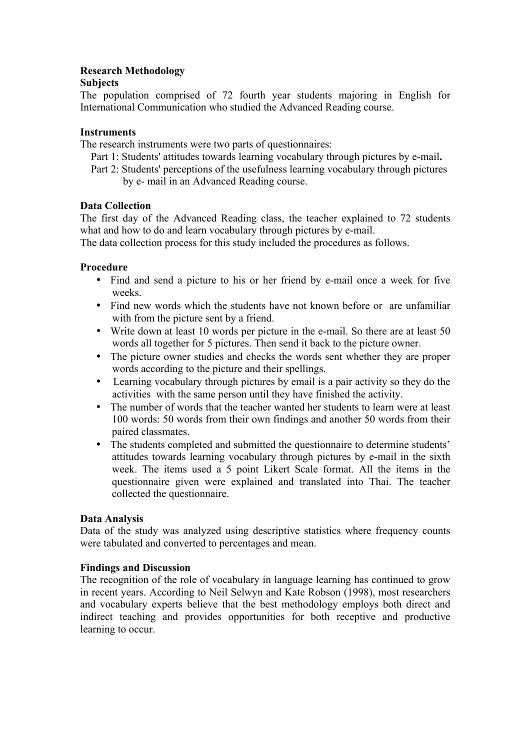# **Research Methodology**

# **Subjects**

The population comprised of 72 fourth year students majoring in English for International Communication who studied the Advanced Reading course.

# **Instruments**

The research instruments were two parts of questionnaires:

- Part 1: Students' attitudes towards learning vocabulary through pictures by e-mail**.**
- Part 2: Students' perceptions of the usefulness learning vocabulary through pictures by e- mail in an Advanced Reading course.

# **Data Collection**

The first day of the Advanced Reading class, the teacher explained to 72 students what and how to do and learn vocabulary through pictures by e-mail.

The data collection process for this study included the procedures as follows.

# **Procedure**

- Find and send a picture to his or her friend by e-mail once a week for five weeks.
- Find new words which the students have not known before or are unfamiliar with from the picture sent by a friend.
- Write down at least 10 words per picture in the e-mail. So there are at least 50 words all together for 5 pictures. Then send it back to the picture owner.
- The picture owner studies and checks the words sent whether they are proper words according to the picture and their spellings.
- Learning vocabulary through pictures by email is a pair activity so they do the activities with the same person until they have finished the activity.
- The number of words that the teacher wanted her students to learn were at least 100 words: 50 words from their own findings and another 50 words from their paired classmates.
- The students completed and submitted the questionnaire to determine students' attitudes towards learning vocabulary through pictures by e-mail in the sixth week. The items used a 5 point Likert Scale format. All the items in the questionnaire given were explained and translated into Thai. The teacher collected the questionnaire.

# **Data Analysis**

Data of the study was analyzed using descriptive statistics where frequency counts were tabulated and converted to percentages and mean.

# **Findings and Discussion**

The recognition of the role of vocabulary in language learning has continued to grow in recent years. According to Neil Selwyn and Kate Robson (1998), most researchers and vocabulary experts believe that the best methodology employs both direct and indirect teaching and provides opportunities for both receptive and productive learning to occur.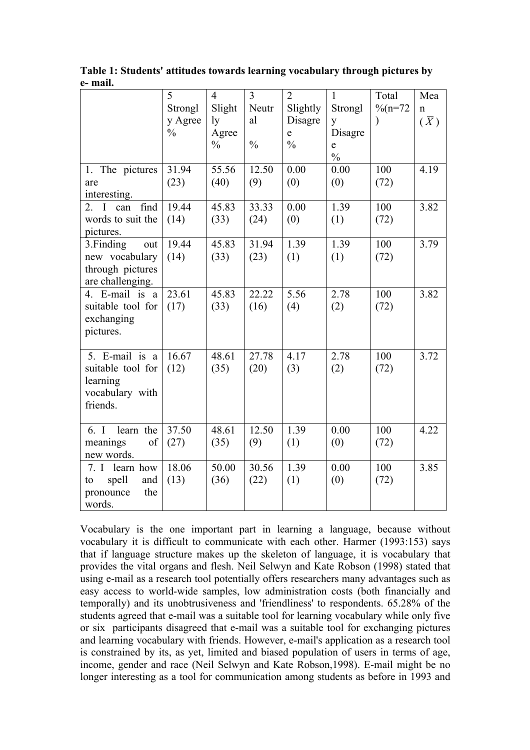|                     | 5                  | $\overline{4}$ | 3<br>Neutr    | $\overline{2}$      | $\mathbf{1}$  | Total<br>$\frac{9}{6}$ (n=72 | Mea                        |
|---------------------|--------------------|----------------|---------------|---------------------|---------------|------------------------------|----------------------------|
|                     | Strongl<br>y Agree | Slight<br>ly   | al            | Slightly<br>Disagre | Strongl<br>y  | $\mathcal{E}$                | $\mathbf n$<br>$(\bar{X})$ |
|                     | $\frac{0}{0}$      | Agree          |               | $\mathbf e$         | Disagre       |                              |                            |
|                     |                    | $\frac{0}{0}$  | $\frac{0}{0}$ | $\frac{0}{0}$       | e             |                              |                            |
|                     |                    |                |               |                     | $\frac{0}{0}$ |                              |                            |
| 1. The pictures     | 31.94              | 55.56          | 12.50         | 0.00                | 0.00          | 100                          | 4.19                       |
| are                 | (23)               | (40)           | (9)           | (0)                 | (0)           | (72)                         |                            |
| interesting.        |                    |                |               |                     |               |                              |                            |
| find<br>2. I<br>can | 19.44              | 45.83          | 33.33         | 0.00                | 1.39          | 100                          | 3.82                       |
| words to suit the   | (14)               | (33)           | (24)          | (0)                 | (1)           | (72)                         |                            |
| pictures.           |                    |                |               |                     |               |                              |                            |
| 3. Finding<br>out   | 19.44              | 45.83          | 31.94         | 1.39                | 1.39          | 100                          | 3.79                       |
| new vocabulary      | (14)               | (33)           | (23)          | (1)                 | (1)           | (72)                         |                            |
| through pictures    |                    |                |               |                     |               |                              |                            |
| are challenging.    |                    |                |               |                     |               |                              |                            |
| 4. E-mail is a      | 23.61              | 45.83          | 22.22         | 5.56                | 2.78          | 100                          | 3.82                       |
| suitable tool for   | (17)               | (33)           | (16)          | (4)                 | (2)           | (72)                         |                            |
| exchanging          |                    |                |               |                     |               |                              |                            |
| pictures.           |                    |                |               |                     |               |                              |                            |
| 5. E-mail is a      | 16.67              | 48.61          | 27.78         | 4.17                | 2.78          | 100                          | 3.72                       |
| suitable tool for   | (12)               | (35)           | (20)          | (3)                 | (2)           | (72)                         |                            |
| learning            |                    |                |               |                     |               |                              |                            |
| vocabulary with     |                    |                |               |                     |               |                              |                            |
| friends.            |                    |                |               |                     |               |                              |                            |
|                     |                    |                |               |                     |               |                              |                            |
| 6. I<br>learn the   | 37.50              | 48.61          | 12.50         | 1.39                | 0.00          | 100                          | 4.22                       |
| meanings<br>of      | (27)               | (35)           | (9)           | (1)                 | (0)           | (72)                         |                            |
| new words.          |                    |                |               |                     |               |                              |                            |
| learn how<br>7. I   | 18.06              | 50.00          | 30.56         | 1.39                | 0.00          | 100                          | 3.85                       |
| spell<br>and<br>to  | (13)               | (36)           | (22)          | (1)                 | (0)           | (72)                         |                            |
| pronounce<br>the    |                    |                |               |                     |               |                              |                            |
| words.              |                    |                |               |                     |               |                              |                            |

**Table 1: Students' attitudes towards learning vocabulary through pictures by e- mail.**

Vocabulary is the one important part in learning a language, because without vocabulary it is difficult to communicate with each other. Harmer (1993:153) says that if language structure makes up the skeleton of language, it is vocabulary that provides the vital organs and flesh. Neil Selwyn and Kate Robson (1998) stated that using e-mail as a research tool potentially offers researchers many advantages such as easy access to world-wide samples, low administration costs (both financially and temporally) and its unobtrusiveness and 'friendliness' to respondents. 65.28% of the students agreed that e-mail was a suitable tool for learning vocabulary while only five or six participants disagreed that e-mail was a suitable tool for exchanging pictures and learning vocabulary with friends. However, e-mail's application as a research tool is constrained by its, as yet, limited and biased population of users in terms of age, income, gender and race (Neil Selwyn and Kate Robson,1998). E-mail might be no longer interesting as a tool for communication among students as before in 1993 and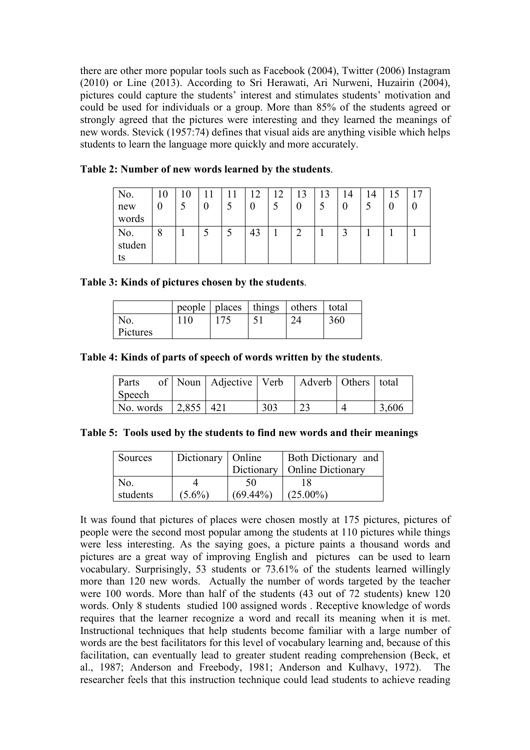there are other more popular tools such as Facebook (2004), Twitter (2006) Instagram (2010) or Line (2013). According to Sri Herawati, Ari Nurweni, Huzairin (2004), pictures could capture the students' interest and stimulates students' motivation and could be used for individuals or a group. More than 85% of the students agreed or strongly agreed that the pictures were interesting and they learned the meanings of new words. Stevick (1957:74) defines that visual aids are anything visible which helps students to learn the language more quickly and more accurately.

| No.<br>new<br>words | 10<br>ν  | $\theta$ | $\theta$ | ר ו | $\cap$<br>J | 13 | 12 | !4 |  |  |
|---------------------|----------|----------|----------|-----|-------------|----|----|----|--|--|
| No.<br>studen<br>ts | $\Omega$ |          |          | 43  |             |    |    |    |  |  |

|  |  |  | Table 2: Number of new words learned by the students. |
|--|--|--|-------------------------------------------------------|
|  |  |  |                                                       |

## **Table 3: Kinds of pictures chosen by the students**.

|          |  | people   places   things   others | total |
|----------|--|-----------------------------------|-------|
| NO.      |  |                                   | 360   |
| Pictures |  |                                   |       |

## **Table 4: Kinds of parts of speech of words written by the students**.

| Parts                           | of   Noun   Adjective   Verb   Adverb   Others   total |     |  |       |
|---------------------------------|--------------------------------------------------------|-----|--|-------|
| Speech                          |                                                        |     |  |       |
| No. words $\int 2,855 \int 421$ |                                                        | 303 |  | 3,606 |

|  |  |  |  |  |  | Table 5: Tools used by the students to find new words and their meanings |
|--|--|--|--|--|--|--------------------------------------------------------------------------|
|  |  |  |  |  |  |                                                                          |

| Sources  | Dictionary   Online |             | <b>Both Dictionary and</b>     |
|----------|---------------------|-------------|--------------------------------|
|          |                     |             | Dictionary   Online Dictionary |
| No.      |                     | 50          |                                |
| students | $(5.6\%)$           | $(69.44\%)$ | $(25.00\%)$                    |

It was found that pictures of places were chosen mostly at 175 pictures, pictures of people were the second most popular among the students at 110 pictures while things were less interesting. As the saying goes, a picture paints a thousand words and pictures are a great way of improving English and pictures can be used to learn vocabulary. Surprisingly, 53 students or 73.61% of the students learned willingly more than 120 new words. Actually the number of words targeted by the teacher were 100 words. More than half of the students (43 out of 72 students) knew 120 words. Only 8 students studied 100 assigned words . Receptive knowledge of words requires that the learner recognize a word and recall its meaning when it is met. Instructional techniques that help students become familiar with a large number of words are the best facilitators for this level of vocabulary learning and, because of this facilitation, can eventually lead to greater student reading comprehension (Beck, et al., 1987; Anderson and Freebody, 1981; Anderson and Kulhavy, 1972). The researcher feels that this instruction technique could lead students to achieve reading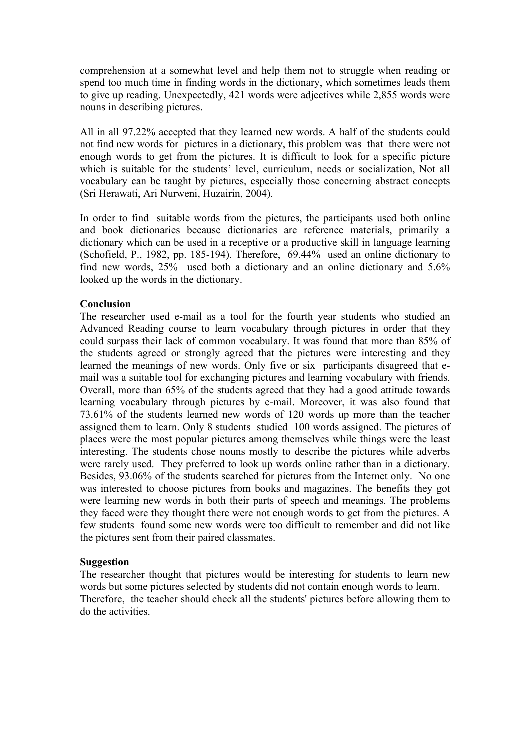comprehension at a somewhat level and help them not to struggle when reading or spend too much time in finding words in the dictionary, which sometimes leads them to give up reading. Unexpectedly, 421 words were adjectives while 2,855 words were nouns in describing pictures.

All in all 97.22% accepted that they learned new words. A half of the students could not find new words for pictures in a dictionary, this problem was that there were not enough words to get from the pictures. It is difficult to look for a specific picture which is suitable for the students' level, curriculum, needs or socialization, Not all vocabulary can be taught by pictures, especially those concerning abstract concepts (Sri Herawati, Ari Nurweni, Huzairin, 2004).

In order to find suitable words from the pictures, the participants used both online and book dictionaries because dictionaries are reference materials, primarily a dictionary which can be used in a receptive or a productive skill in language learning (Schofield, P., 1982, pp. 185-194). Therefore, 69.44% used an online dictionary to find new words, 25% used both a dictionary and an online dictionary and 5.6% looked up the words in the dictionary.

## **Conclusion**

The researcher used e-mail as a tool for the fourth year students who studied an Advanced Reading course to learn vocabulary through pictures in order that they could surpass their lack of common vocabulary. It was found that more than 85% of the students agreed or strongly agreed that the pictures were interesting and they learned the meanings of new words. Only five or six participants disagreed that email was a suitable tool for exchanging pictures and learning vocabulary with friends. Overall, more than 65% of the students agreed that they had a good attitude towards learning vocabulary through pictures by e-mail. Moreover, it was also found that 73.61% of the students learned new words of 120 words up more than the teacher assigned them to learn. Only 8 students studied 100 words assigned. The pictures of places were the most popular pictures among themselves while things were the least interesting. The students chose nouns mostly to describe the pictures while adverbs were rarely used. They preferred to look up words online rather than in a dictionary. Besides, 93.06% of the students searched for pictures from the Internet only. No one was interested to choose pictures from books and magazines. The benefits they got were learning new words in both their parts of speech and meanings. The problems they faced were they thought there were not enough words to get from the pictures. A few students found some new words were too difficult to remember and did not like the pictures sent from their paired classmates.

## **Suggestion**

The researcher thought that pictures would be interesting for students to learn new words but some pictures selected by students did not contain enough words to learn. Therefore, the teacher should check all the students' pictures before allowing them to do the activities.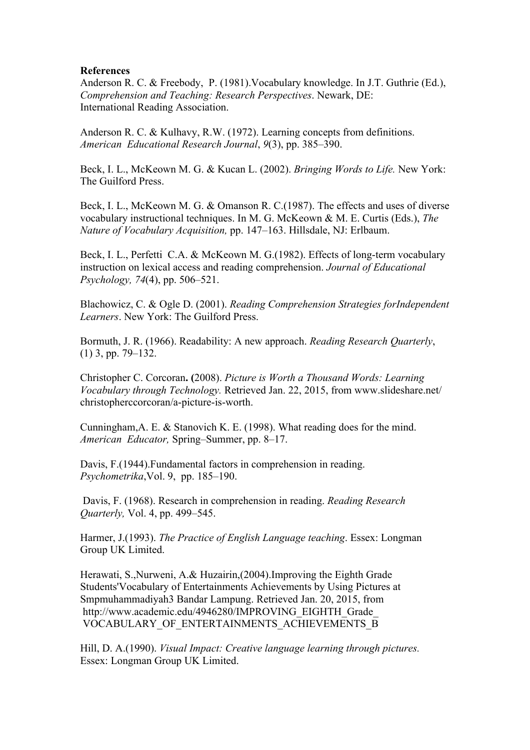#### **References**

Anderson R. C. & Freebody, P. (1981).Vocabulary knowledge. In J.T. Guthrie (Ed.), *Comprehension and Teaching: Research Perspectives*. Newark, DE: International Reading Association.

Anderson R. C. & Kulhavy, R.W. (1972). Learning concepts from definitions. *American Educational Research Journal*, *9*(3), pp. 385–390.

Beck, I. L., McKeown M. G. & Kucan L. (2002). *Bringing Words to Life.* New York: The Guilford Press.

Beck, I. L., McKeown M. G. & Omanson R. C.(1987). The effects and uses of diverse vocabulary instructional techniques. In M. G. McKeown & M. E. Curtis (Eds.), *The Nature of Vocabulary Acquisition,* pp. 147–163. Hillsdale, NJ: Erlbaum.

Beck, I. L., Perfetti C.A. & McKeown M. G.(1982). Effects of long-term vocabulary instruction on lexical access and reading comprehension. *Journal of Educational Psychology, 74*(4), pp. 506–521.

Blachowicz, C. & Ogle D. (2001). *Reading Comprehension Strategies forIndependent Learners*. New York: The Guilford Press.

Bormuth, J. R. (1966). Readability: A new approach. *Reading Research Quarterly*, (1) 3, pp. 79–132.

Christopher C. Corcoran**. (**2008). *Picture is Worth a Thousand Words: Learning Vocabulary through Technology.* Retrieved Jan. 22, 2015, from www.slideshare.net/ christopherccorcoran/a-picture-is-worth.

Cunningham,A. E. & Stanovich K. E. (1998). What reading does for the mind. *American Educator,* Spring–Summer, pp. 8–17.

Davis, F.(1944).Fundamental factors in comprehension in reading. *Psychometrika*,Vol. 9, pp. 185–190.

Davis, F. (1968). Research in comprehension in reading. *Reading Research Quarterly,* Vol. 4, pp. 499–545.

Harmer, J.(1993). *The Practice of English Language teaching*. Essex: Longman Group UK Limited.

Herawati, S.,Nurweni, A.& Huzairin,(2004).Improving the Eighth Grade Students'Vocabulary of Entertainments Achievements by Using Pictures at Smpmuhammadiyah3 Bandar Lampung. Retrieved Jan. 20, 2015, from http://www.academic.edu/4946280/IMPROVING\_EIGHTH\_Grade\_ VOCABULARY\_OF\_ENTERTAINMENTS\_ACHIEVEMENTS\_B

Hill, D. A.(1990). *Visual Impact: Creative language learning through pictures.* Essex: Longman Group UK Limited.